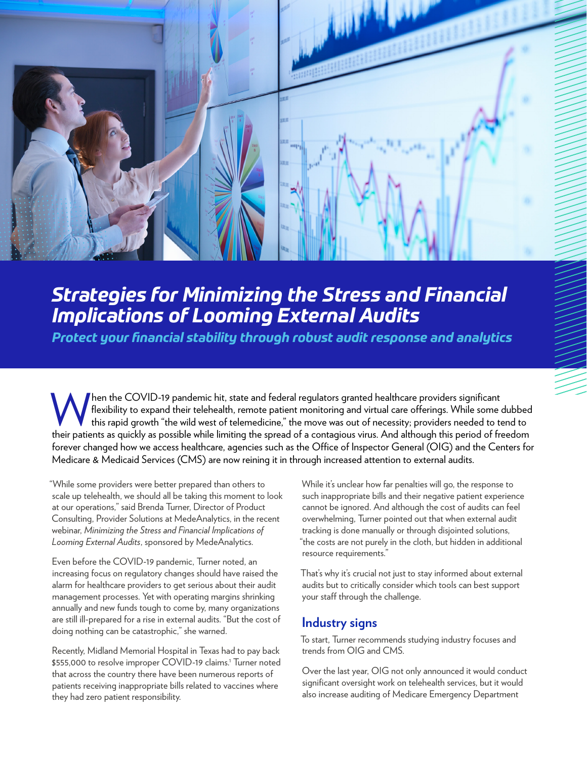

## *Strategies for Minimizing the Stress and Financial Implications of Looming External Audits*

*Protect your financial stability through robust audit response and analytics*

When the COVID-19 pandemic hit, state and federal regulators granted healthcare providers significant<br>
this rapid growth "the wild west of telemedicine," the move was out of necessity; providers needed to to<br>
their patient flexibility to expand their telehealth, remote patient monitoring and virtual care offerings. While some dubbed this rapid growth "the wild west of telemedicine," the move was out of necessity; providers needed to tend to their patients as quickly as possible while limiting the spread of a contagious virus. And although this period of freedom forever changed how we access healthcare, agencies such as the Office of Inspector General (OIG) and the Centers for Medicare & Medicaid Services (CMS) are now reining it in through increased attention to external audits.

"While some providers were better prepared than others to scale up telehealth, we should all be taking this moment to look at our operations," said Brenda Turner, Director of Product Consulting, Provider Solutions at MedeAnalytics, in the recent webinar, *Minimizing the Stress and Financial Implications of Looming External Audits*, sponsored by MedeAnalytics.

Even before the COVID-19 pandemic, Turner noted, an increasing focus on regulatory changes should have raised the alarm for healthcare providers to get serious about their audit management processes. Yet with operating margins shrinking annually and new funds tough to come by, many organizations are still ill-prepared for a rise in external audits. "But the cost of doing nothing can be catastrophic," she warned.

Recently, Midland Memorial Hospital in Texas had to pay back \$555,000 to resolve improper COVID-19 claims.<sup>1</sup> Turner noted that across the country there have been numerous reports of patients receiving inappropriate bills related to vaccines where they had zero patient responsibility.

While it's unclear how far penalties will go, the response to such inappropriate bills and their negative patient experience cannot be ignored. And although the cost of audits can feel overwhelming, Turner pointed out that when external audit tracking is done manually or through disjointed solutions, "the costs are not purely in the cloth, but hidden in additional resource requirements."

That's why it's crucial not just to stay informed about external audits but to critically consider which tools can best support your staff through the challenge.

## **Industry signs**

To start, Turner recommends studying industry focuses and trends from OIG and CMS.

Over the last year, OIG not only announced it would conduct significant oversight work on telehealth services, but it would also increase auditing of Medicare Emergency Department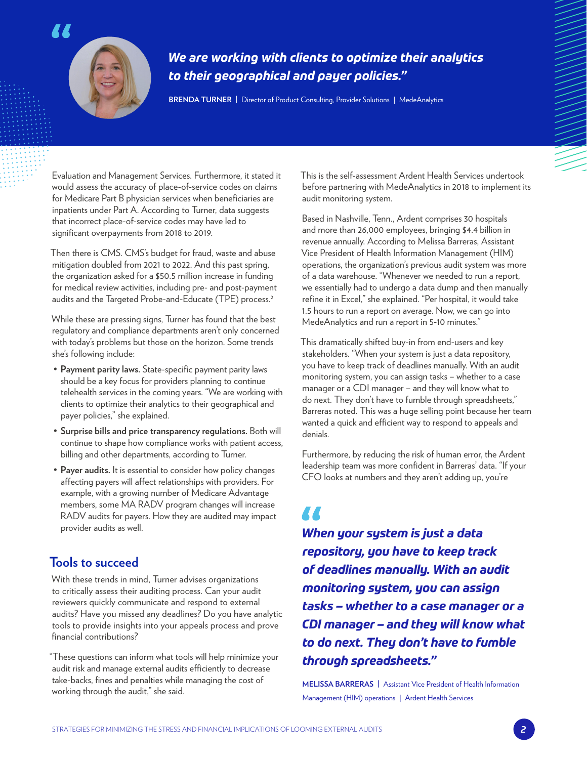

## *We are working with clients to optimize their analytics to their geographical and payer policies."*

**BRENDA TURNER |** Director of Product Consulting, Provider Solutions | MedeAnalytics

Evaluation and Management Services. Furthermore, it stated it would assess the accuracy of place-of-service codes on claims for Medicare Part B physician services when beneficiaries are inpatients under Part A. According to Turner, data suggests that incorrect place-of-service codes may have led to significant overpayments from 2018 to 2019.

Then there is CMS. CMS's budget for fraud, waste and abuse mitigation doubled from 2021 to 2022. And this past spring, the organization asked for a \$50.5 million increase in funding for medical review activities, including pre- and post-payment audits and the Targeted Probe-and-Educate (TPE) process.<sup>2</sup>

While these are pressing signs, Turner has found that the best regulatory and compliance departments aren't only concerned with today's problems but those on the horizon. Some trends she's following include:

- **Payment parity laws.** State-specific payment parity laws should be a key focus for providers planning to continue telehealth services in the coming years. "We are working with clients to optimize their analytics to their geographical and payer policies," she explained.
- **Surprise bills and price transparency regulations.** Both will continue to shape how compliance works with patient access, billing and other departments, according to Turner.
- **Payer audits.** It is essential to consider how policy changes affecting payers will affect relationships with providers. For example, with a growing number of Medicare Advantage members, some MA RADV program changes will increase RADV audits for payers. How they are audited may impact provider audits as well.

## **Tools to succeed**

With these trends in mind, Turner advises organizations to critically assess their auditing process. Can your audit reviewers quickly communicate and respond to external audits? Have you missed any deadlines? Do you have analytic tools to provide insights into your appeals process and prove financial contributions?

"These questions can inform what tools will help minimize your audit risk and manage external audits efficiently to decrease take-backs, fines and penalties while managing the cost of working through the audit," she said.

This is the self-assessment Ardent Health Services undertook before partnering with MedeAnalytics in 2018 to implement its audit monitoring system.

Based in Nashville, Tenn., Ardent comprises 30 hospitals and more than 26,000 employees, bringing \$4.4 billion in revenue annually. According to Melissa Barreras, Assistant Vice President of Health Information Management (HIM) operations, the organization's previous audit system was more of a data warehouse. "Whenever we needed to run a report, we essentially had to undergo a data dump and then manually refine it in Excel," she explained. "Per hospital, it would take 1.5 hours to run a report on average. Now, we can go into MedeAnalytics and run a report in 5-10 minutes."

This dramatically shifted buy-in from end-users and key stakeholders. "When your system is just a data repository, you have to keep track of deadlines manually. With an audit monitoring system, you can assign tasks – whether to a case manager or a CDI manager – and they will know what to do next. They don't have to fumble through spreadsheets," Barreras noted. This was a huge selling point because her team wanted a quick and efficient way to respond to appeals and denials.

Furthermore, by reducing the risk of human error, the Ardent leadership team was more confident in Barreras' data. "If your CFO looks at numbers and they aren't adding up, you're

# **A A**

*When your system is just a data repository, you have to keep track of deadlines manually. With an audit monitoring system, you can assign tasks – whether to a case manager or a CDI manager – and they will know what to do next. They don't have to fumble through spreadsheets."*

**MELISSA BARRERAS |** Assistant Vice President of Health Information Management (HIM) operations | Ardent Health Services